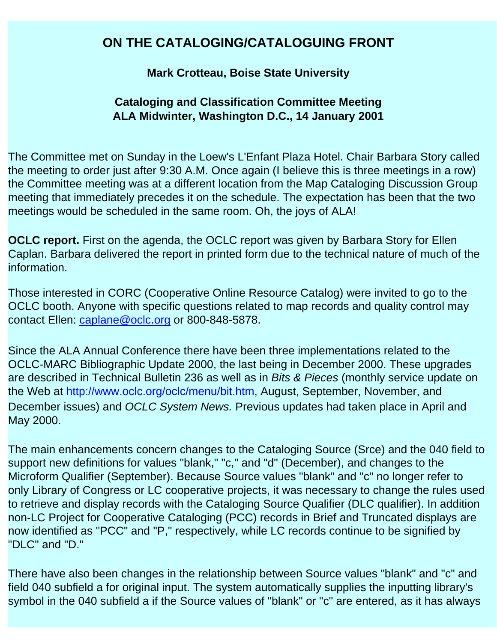# <span id="page-0-0"></span>**ON THE CATALOGING/CATALOGUING FRONT**

#### **Mark Crotteau, Boise State University**

#### **Cataloging and Classification Committee Meeting ALA Midwinter, Washington D.C., 14 January 2001**

The Committee met on Sunday in the Loew's L'Enfant Plaza Hotel. Chair Barbara Story called the meeting to order just after 9:30 A.M. Once again (I believe this is three meetings in a row) the Committee meeting was at a different location from the Map Cataloging Discussion Group meeting that immediately precedes it on the schedule. The expectation has been that the two meetings would be scheduled in the same room. Oh, the joys of ALA!

**OCLC report.** First on the agenda, the OCLC report was given by Barbara Story for Ellen Caplan. Barbara delivered the report in printed form due to the technical nature of much of the information.

Those interested in CORC (Cooperative Online Resource Catalog) were invited to go to the OCLC booth. Anyone with specific questions related to map records and quality control may contact Ellen: [caplane@oclc.org](mailto:caplane@oclc.org) or 800-848-5878.

Since the ALA Annual Conference there have been three implementations related to the OCLC-MARC Bibliographic Update 2000, the last being in December 2000. These upgrades are described in Technical Bulletin 236 as well as in *Bits & Pieces* (monthly service update on the Web at <http://www.oclc.org/oclc/menu/bit.htm>, August, September, November, and December issues) and *OCLC System News.* Previous updates had taken place in April and May 2000.

The main enhancements concern changes to the Cataloging Source (Srce) and the 040 field to support new definitions for values "blank," "c," and "d" (December), and changes to the Microform Qualifier (September). Because Source values "blank" and "c" no longer refer to only Library of Congress or LC cooperative projects, it was necessary to change the rules used to retrieve and display records with the Cataloging Source Qualifier (DLC qualifier). In addition non-LC Project for Cooperative Cataloging (PCC) records in Brief and Truncated displays are now identified as "PCC" and "P," respectively, while LC records continue to be signified by "DLC" and "D."

There have also been changes in the relationship between Source values "blank" and "c" and field 040 subfield a for original input. The system automatically supplies the inputting library's symbol in the 040 subfield a if the Source values of "blank" or "c" are entered, as it has always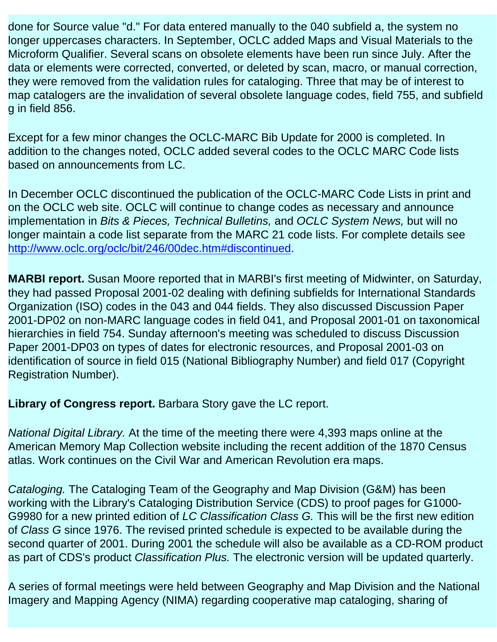done for Source value "d." For data entered manually to the 040 subfield a, the system no longer uppercases characters. In September, OCLC added Maps and Visual Materials to the Microform Qualifier. Several scans on obsolete elements have been run since July. After the data or elements were corrected, converted, or deleted by scan, macro, or manual correction, they were removed from the validation rules for cataloging. Three that may be of interest to map catalogers are the invalidation of several obsolete language codes, field 755, and subfield g in field 856.

Except for a few minor changes the OCLC-MARC Bib Update for 2000 is completed. In addition to the changes noted, OCLC added several codes to the OCLC MARC Code lists based on announcements from LC.

In December OCLC discontinued the publication of the OCLC-MARC Code Lists in print and on the OCLC web site. OCLC will continue to change codes as necessary and announce implementation in *Bits & Pieces, Technical Bulletins,* and *OCLC System News,* but will no longer maintain a code list separate from the MARC 21 code lists. For complete details see [http://www.oclc.org/oclc/bit/246/00dec.htm#discontinued.](http://www.oclc.org/oclc/bit/246/00dec.htm#discontinued)

**MARBI report.** Susan Moore reported that in MARBI's first meeting of Midwinter, on Saturday, they had passed Proposal 2001-02 dealing with defining subfields for International Standards Organization (ISO) codes in the 043 and 044 fields. They also discussed Discussion Paper 2001-DP02 on non-MARC language codes in field 041, and Proposal 2001-01 on taxonomical hierarchies in field 754. Sunday afternoon's meeting was scheduled to discuss Discussion Paper 2001-DP03 on types of dates for electronic resources, and Proposal 2001-03 on identification of source in field 015 (National Bibliography Number) and field 017 (Copyright Registration Number).

**Library of Congress report.** Barbara Story gave the LC report.

*National Digital Library.* At the time of the meeting there were 4,393 maps online at the American Memory Map Collection website including the recent addition of the 1870 Census atlas. Work continues on the Civil War and American Revolution era maps.

*Cataloging.* The Cataloging Team of the Geography and Map Division (G&M) has been working with the Library's Cataloging Distribution Service (CDS) to proof pages for G1000 G9980 for a new printed edition of *LC Classification Class G.* This will be the first new edition of *Class G* since 1976. The revised printed schedule is expected to be available during the second quarter of 2001. During 2001 the schedule will also be available as a CD-ROM product as part of CDS's product *Classification Plus.* The electronic version will be updated quarterly.

A series of formal meetings were held between Geography and Map Division and the National Imagery and Mapping Agency (NIMA) regarding cooperative map cataloging, sharing of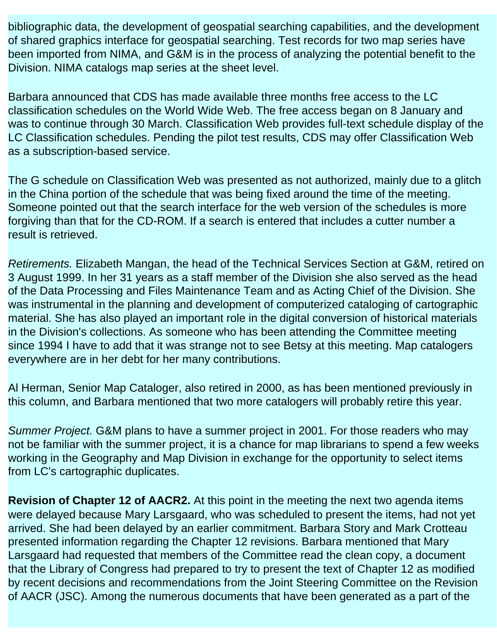bibliographic data, the development of geospatial searching capabilities, and the development of shared graphics interface for geospatial searching. Test records for two map series have been imported from NIMA, and G&M is in the process of analyzing the potential benefit to the Division. NIMA catalogs map series at the sheet level.

Barbara announced that CDS has made available three months free access to the LC classification schedules on the World Wide Web. The free access began on 8 January and was to continue through 30 March. Classification Web provides full-text schedule display of the LC Classification schedules. Pending the pilot test results, CDS may offer Classification Web as a subscription-based service.

The G schedule on Classification Web was presented as not authorized, mainly due to a glitch in the China portion of the schedule that was being fixed around the time of the meeting. Someone pointed out that the search interface for the web version of the schedules is more forgiving than that for the CD-ROM. If a search is entered that includes a cutter number a result is retrieved.

*Retirements.* Elizabeth Mangan, the head of the Technical Services Section at G&M, retired on 3 August 1999. In her 31 years as a staff member of the Division she also served as the head of the Data Processing and Files Maintenance Team and as Acting Chief of the Division. She was instrumental in the planning and development of computerized cataloging of cartographic material. She has also played an important role in the digital conversion of historical materials in the Division's collections. As someone who has been attending the Committee meeting since 1994 I have to add that it was strange not to see Betsy at this meeting. Map catalogers everywhere are in her debt for her many contributions.

Al Herman, Senior Map Cataloger, also retired in 2000, as has been mentioned previously in this column, and Barbara mentioned that two more catalogers will probably retire this year.

*Summer Project.* G&M plans to have a summer project in 2001. For those readers who may not be familiar with the summer project, it is a chance for map librarians to spend a few weeks working in the Geography and Map Division in exchange for the opportunity to select items from LC's cartographic duplicates.

**Revision of Chapter 12 of AACR2.** At this point in the meeting the next two agenda items were delayed because Mary Larsgaard, who was scheduled to present the items, had not yet arrived. She had been delayed by an earlier commitment. Barbara Story and Mark Crotteau presented information regarding the Chapter 12 revisions. Barbara mentioned that Mary Larsgaard had requested that members of the Committee read the clean copy, a document that the Library of Congress had prepared to try to present the text of Chapter 12 as modified by recent decisions and recommendations from the Joint Steering Committee on the Revision of AACR (JSC). Among the numerous documents that have been generated as a part of the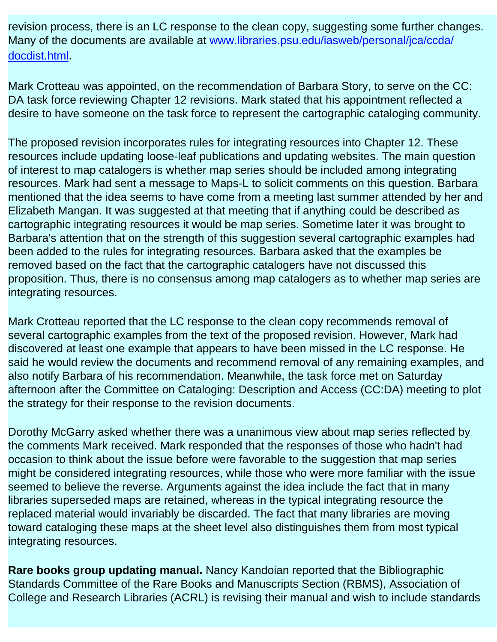revision process, there is an LC response to the clean copy, suggesting some further changes. Many of the documents are available at [www.libraries.psu.edu/iasweb/personal/jca/ccda/](http://www.libraries.psu.edu/iasweb/personal/jca/ccda/docdist.html) [docdist.html.](http://www.libraries.psu.edu/iasweb/personal/jca/ccda/docdist.html)

Mark Crotteau was appointed, on the recommendation of Barbara Story, to serve on the CC: DA task force reviewing Chapter 12 revisions. Mark stated that his appointment reflected a desire to have someone on the task force to represent the cartographic cataloging community.

The proposed revision incorporates rules for integrating resources into Chapter 12. These resources include updating loose-leaf publications and updating websites. The main question of interest to map catalogers is whether map series should be included among integrating resources. Mark had sent a message to Maps-L to solicit comments on this question. Barbara mentioned that the idea seems to have come from a meeting last summer attended by her and Elizabeth Mangan. It was suggested at that meeting that if anything could be described as cartographic integrating resources it would be map series. Sometime later it was brought to Barbara's attention that on the strength of this suggestion several cartographic examples had been added to the rules for integrating resources. Barbara asked that the examples be removed based on the fact that the cartographic catalogers have not discussed this proposition. Thus, there is no consensus among map catalogers as to whether map series are integrating resources.

Mark Crotteau reported that the LC response to the clean copy recommends removal of several cartographic examples from the text of the proposed revision. However, Mark had discovered at least one example that appears to have been missed in the LC response. He said he would review the documents and recommend removal of any remaining examples, and also notify Barbara of his recommendation. Meanwhile, the task force met on Saturday afternoon after the Committee on Cataloging: Description and Access (CC:DA) meeting to plot the strategy for their response to the revision documents.

Dorothy McGarry asked whether there was a unanimous view about map series reflected by the comments Mark received. Mark responded that the responses of those who hadn't had occasion to think about the issue before were favorable to the suggestion that map series might be considered integrating resources, while those who were more familiar with the issue seemed to believe the reverse. Arguments against the idea include the fact that in many libraries superseded maps are retained, whereas in the typical integrating resource the replaced material would invariably be discarded. The fact that many libraries are moving toward cataloging these maps at the sheet level also distinguishes them from most typical integrating resources.

**Rare books group updating manual.** Nancy Kandoian reported that the Bibliographic Standards Committee of the Rare Books and Manuscripts Section (RBMS), Association of College and Research Libraries (ACRL) is revising their manual and wish to include standards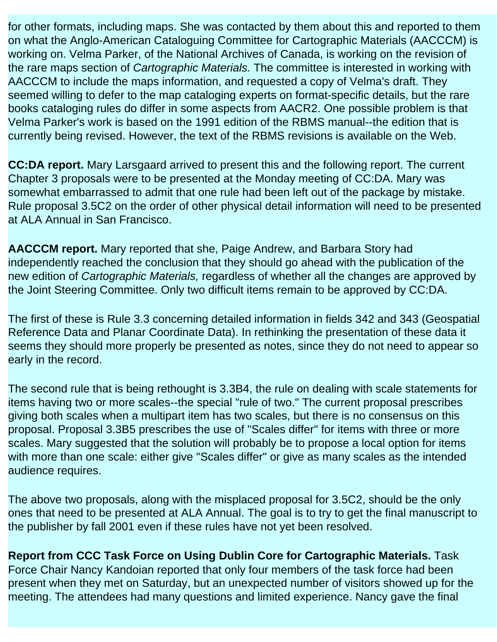for other formats, including maps. She was contacted by them about this and reported to them on what the Anglo-American Cataloguing Committee for Cartographic Materials (AACCCM) is working on. Velma Parker, of the National Archives of Canada, is working on the revision of the rare maps section of *Cartographic Materials.* The committee is interested in working with AACCCM to include the maps information, and requested a copy of Velma's draft. They seemed willing to defer to the map cataloging experts on format-specific details, but the rare books cataloging rules do differ in some aspects from AACR2. One possible problem is that Velma Parker's work is based on the 1991 edition of the RBMS manual--the edition that is currently being revised. However, the text of the RBMS revisions is available on the Web.

**CC:DA report.** Mary Larsgaard arrived to present this and the following report. The current Chapter 3 proposals were to be presented at the Monday meeting of CC:DA. Mary was somewhat embarrassed to admit that one rule had been left out of the package by mistake. Rule proposal 3.5C2 on the order of other physical detail information will need to be presented at ALA Annual in San Francisco.

**AACCCM report.** Mary reported that she, Paige Andrew, and Barbara Story had independently reached the conclusion that they should go ahead with the publication of the new edition of *Cartographic Materials,* regardless of whether all the changes are approved by the Joint Steering Committee. Only two difficult items remain to be approved by CC:DA.

The first of these is Rule 3.3 concerning detailed information in fields 342 and 343 (Geospatial Reference Data and Planar Coordinate Data). In rethinking the presentation of these data it seems they should more properly be presented as notes, since they do not need to appear so early in the record.

The second rule that is being rethought is 3.3B4, the rule on dealing with scale statements for items having two or more scales--the special "rule of two." The current proposal prescribes giving both scales when a multipart item has two scales, but there is no consensus on this proposal. Proposal 3.3B5 prescribes the use of "Scales differ" for items with three or more scales. Mary suggested that the solution will probably be to propose a local option for items with more than one scale: either give "Scales differ" or give as many scales as the intended audience requires.

The above two proposals, along with the misplaced proposal for 3.5C2, should be the only ones that need to be presented at ALA Annual. The goal is to try to get the final manuscript to the publisher by fall 2001 even if these rules have not yet been resolved.

**Report from CCC Task Force on Using Dublin Core for Cartographic Materials.** Task Force Chair Nancy Kandoian reported that only four members of the task force had been present when they met on Saturday, but an unexpected number of visitors showed up for the meeting. The attendees had many questions and limited experience. Nancy gave the final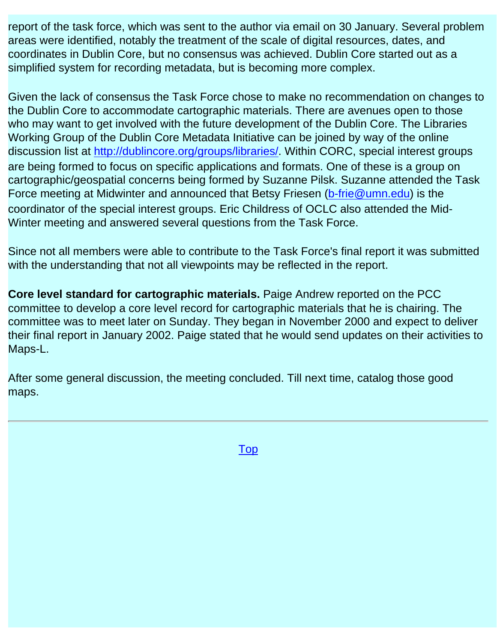report of the task force, which was sent to the author via email on 30 January. Several problem areas were identified, notably the treatment of the scale of digital resources, dates, and coordinates in Dublin Core, but no consensus was achieved. Dublin Core started out as a simplified system for recording metadata, but is becoming more complex.

Given the lack of consensus the Task Force chose to make no recommendation on changes to the Dublin Core to accommodate cartographic materials. There are avenues open to those who may want to get involved with the future development of the Dublin Core. The Libraries Working Group of the Dublin Core Metadata Initiative can be joined by way of the online discussion list at <http://dublincore.org/groups/libraries/>. Within CORC, special interest groups are being formed to focus on specific applications and formats. One of these is a group on cartographic/geospatial concerns being formed by Suzanne Pilsk. Suzanne attended the Task Force meeting at Midwinter and announced that Betsy Friesen ([b-frie@umn.edu](mailto:b-frie@umn.edu)) is the coordinator of the special interest groups. Eric Childress of OCLC also attended the Mid-Winter meeting and answered several questions from the Task Force.

Since not all members were able to contribute to the Task Force's final report it was submitted with the understanding that not all viewpoints may be reflected in the report.

**Core level standard for cartographic materials.** Paige Andrew reported on the PCC committee to develop a core level record for cartographic materials that he is chairing. The committee was to meet later on Sunday. They began in November 2000 and expect to deliver their final report in January 2002. Paige stated that he would send updates on their activities to Maps-L.

After some general discussion, the meeting concluded. Till next time, catalog those good maps.

[Top](#page-0-0)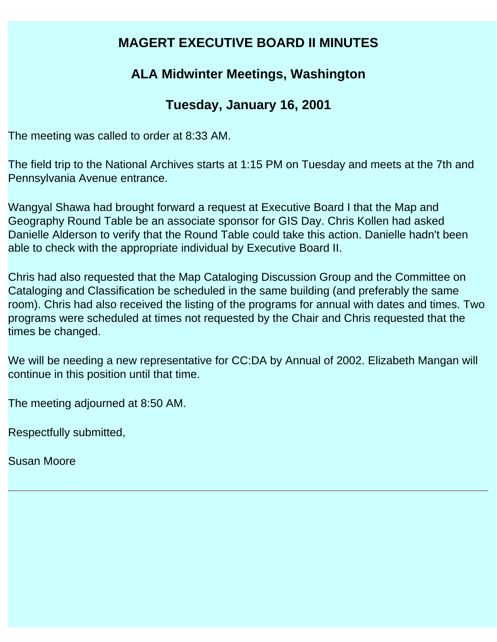# **MAGERT EXECUTIVE BOARD II MINUTES**

# **ALA Midwinter Meetings, Washington**

# **Tuesday, January 16, 2001**

The meeting was called to order at 8:33 AM.

The field trip to the National Archives starts at 1:15 PM on Tuesday and meets at the 7th and Pennsylvania Avenue entrance.

Wangyal Shawa had brought forward a request at Executive Board I that the Map and Geography Round Table be an associate sponsor for GIS Day. Chris Kollen had asked Danielle Alderson to verify that the Round Table could take this action. Danielle hadn't been able to check with the appropriate individual by Executive Board II.

Chris had also requested that the Map Cataloging Discussion Group and the Committee on Cataloging and Classification be scheduled in the same building (and preferably the same room). Chris had also received the listing of the programs for annual with dates and times. Two programs were scheduled at times not requested by the Chair and Chris requested that the times be changed.

We will be needing a new representative for CC:DA by Annual of 2002. Elizabeth Mangan will continue in this position until that time.

The meeting adjourned at 8:50 AM.

Respectfully submitted,

Susan Moore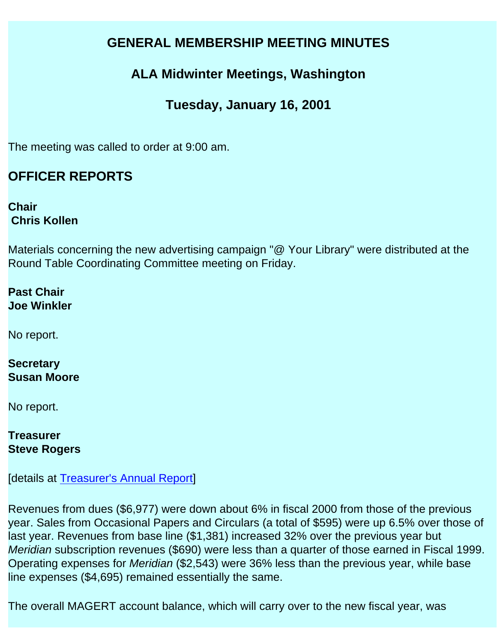# <span id="page-7-0"></span>**GENERAL MEMBERSHIP MEETING MINUTES**

# **ALA Midwinter Meetings, Washington**

# **Tuesday, January 16, 2001**

The meeting was called to order at 9:00 am.

# **OFFICER REPORTS**

**Chair Chris Kollen** 

Materials concerning the new advertising campaign "@ Your Library" were distributed at the Round Table Coordinating Committee meeting on Friday.

**Past Chair Joe Winkler** 

No report.

**Secretary Susan Moore** 

No report.

**Treasurer Steve Rogers** 

[details at [Treasurer's Annual Report\]](file:///C|/Documents%20and%20Settings/mlamont/My%20Documents/magert/baseline/early/libmap_base_0401_trrpt.00.html)

Revenues from dues (\$6,977) were down about 6% in fiscal 2000 from those of the previous year. Sales from Occasional Papers and Circulars (a total of \$595) were up 6.5% over those of last year. Revenues from base line (\$1,381) increased 32% over the previous year but *Meridian* subscription revenues (\$690) were less than a quarter of those earned in Fiscal 1999. Operating expenses for *Meridian* (\$2,543) were 36% less than the previous year, while base line expenses (\$4,695) remained essentially the same.

The overall MAGERT account balance, which will carry over to the new fiscal year, was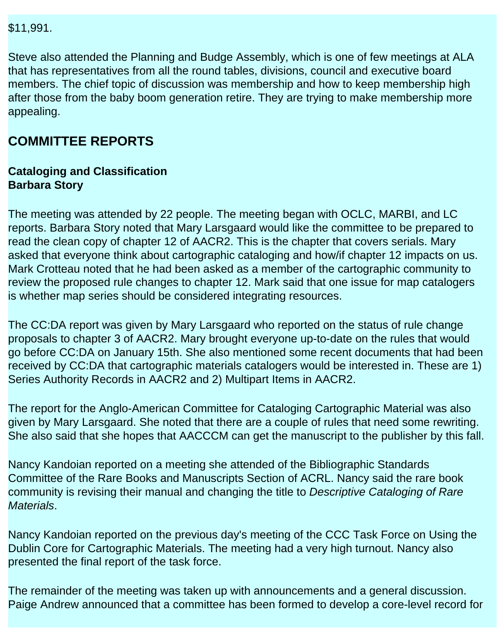\$11,991.

Steve also attended the Planning and Budge Assembly, which is one of few meetings at ALA that has representatives from all the round tables, divisions, council and executive board members. The chief topic of discussion was membership and how to keep membership high after those from the baby boom generation retire. They are trying to make membership more appealing.

# **COMMITTEE REPORTS**

#### **Cataloging and Classification Barbara Story**

The meeting was attended by 22 people. The meeting began with OCLC, MARBI, and LC reports. Barbara Story noted that Mary Larsgaard would like the committee to be prepared to read the clean copy of chapter 12 of AACR2. This is the chapter that covers serials. Mary asked that everyone think about cartographic cataloging and how/if chapter 12 impacts on us. Mark Crotteau noted that he had been asked as a member of the cartographic community to review the proposed rule changes to chapter 12. Mark said that one issue for map catalogers is whether map series should be considered integrating resources.

The CC:DA report was given by Mary Larsgaard who reported on the status of rule change proposals to chapter 3 of AACR2. Mary brought everyone up-to-date on the rules that would go before CC:DA on January 15th. She also mentioned some recent documents that had been received by CC:DA that cartographic materials catalogers would be interested in. These are 1) Series Authority Records in AACR2 and 2) Multipart Items in AACR2.

The report for the Anglo-American Committee for Cataloging Cartographic Material was also given by Mary Larsgaard. She noted that there are a couple of rules that need some rewriting. She also said that she hopes that AACCCM can get the manuscript to the publisher by this fall.

Nancy Kandoian reported on a meeting she attended of the Bibliographic Standards Committee of the Rare Books and Manuscripts Section of ACRL. Nancy said the rare book community is revising their manual and changing the title to *Descriptive Cataloging of Rare Materials*.

Nancy Kandoian reported on the previous day's meeting of the CCC Task Force on Using the Dublin Core for Cartographic Materials. The meeting had a very high turnout. Nancy also presented the final report of the task force.

The remainder of the meeting was taken up with announcements and a general discussion. Paige Andrew announced that a committee has been formed to develop a core-level record for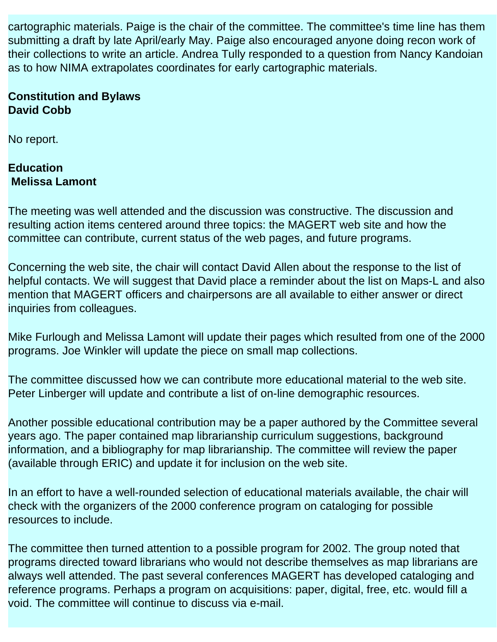cartographic materials. Paige is the chair of the committee. The committee's time line has them submitting a draft by late April/early May. Paige also encouraged anyone doing recon work of their collections to write an article. Andrea Tully responded to a question from Nancy Kandoian as to how NIMA extrapolates coordinates for early cartographic materials.

#### **Constitution and Bylaws David Cobb**

No report.

#### **Education Melissa Lamont**

The meeting was well attended and the discussion was constructive. The discussion and resulting action items centered around three topics: the MAGERT web site and how the committee can contribute, current status of the web pages, and future programs.

Concerning the web site, the chair will contact David Allen about the response to the list of helpful contacts. We will suggest that David place a reminder about the list on Maps-L and also mention that MAGERT officers and chairpersons are all available to either answer or direct inquiries from colleagues.

Mike Furlough and Melissa Lamont will update their pages which resulted from one of the 2000 programs. Joe Winkler will update the piece on small map collections.

The committee discussed how we can contribute more educational material to the web site. Peter Linberger will update and contribute a list of on-line demographic resources.

Another possible educational contribution may be a paper authored by the Committee several years ago. The paper contained map librarianship curriculum suggestions, background information, and a bibliography for map librarianship. The committee will review the paper (available through ERIC) and update it for inclusion on the web site.

In an effort to have a well-rounded selection of educational materials available, the chair will check with the organizers of the 2000 conference program on cataloging for possible resources to include.

The committee then turned attention to a possible program for 2002. The group noted that programs directed toward librarians who would not describe themselves as map librarians are always well attended. The past several conferences MAGERT has developed cataloging and reference programs. Perhaps a program on acquisitions: paper, digital, free, etc. would fill a void. The committee will continue to discuss via e-mail.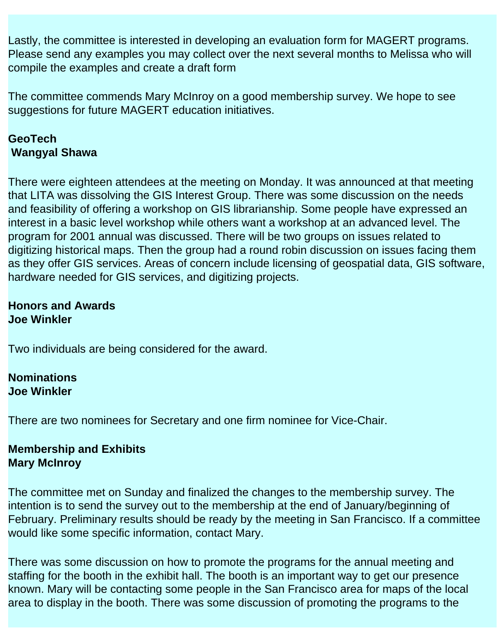Lastly, the committee is interested in developing an evaluation form for MAGERT programs. Please send any examples you may collect over the next several months to Melissa who will compile the examples and create a draft form

The committee commends Mary McInroy on a good membership survey. We hope to see suggestions for future MAGERT education initiatives.

#### **GeoTech Wangyal Shawa**

There were eighteen attendees at the meeting on Monday. It was announced at that meeting that LITA was dissolving the GIS Interest Group. There was some discussion on the needs and feasibility of offering a workshop on GIS librarianship. Some people have expressed an interest in a basic level workshop while others want a workshop at an advanced level. The program for 2001 annual was discussed. There will be two groups on issues related to digitizing historical maps. Then the group had a round robin discussion on issues facing them as they offer GIS services. Areas of concern include licensing of geospatial data, GIS software, hardware needed for GIS services, and digitizing projects.

#### **Honors and Awards Joe Winkler**

Two individuals are being considered for the award.

#### **Nominations Joe Winkler**

There are two nominees for Secretary and one firm nominee for Vice-Chair.

#### **Membership and Exhibits Mary McInroy**

The committee met on Sunday and finalized the changes to the membership survey. The intention is to send the survey out to the membership at the end of January/beginning of February. Preliminary results should be ready by the meeting in San Francisco. If a committee would like some specific information, contact Mary.

There was some discussion on how to promote the programs for the annual meeting and staffing for the booth in the exhibit hall. The booth is an important way to get our presence known. Mary will be contacting some people in the San Francisco area for maps of the local area to display in the booth. There was some discussion of promoting the programs to the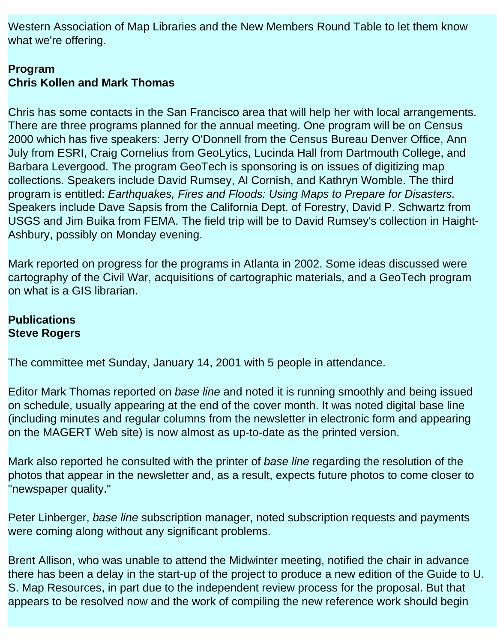Western Association of Map Libraries and the New Members Round Table to let them know what we're offering.

### **Program Chris Kollen and Mark Thomas**

Chris has some contacts in the San Francisco area that will help her with local arrangements. There are three programs planned for the annual meeting. One program will be on Census 2000 which has five speakers: Jerry O'Donnell from the Census Bureau Denver Office, Ann July from ESRI, Craig Cornelius from GeoLytics, Lucinda Hall from Dartmouth College, and Barbara Levergood. The program GeoTech is sponsoring is on issues of digitizing map collections. Speakers include David Rumsey, Al Cornish, and Kathryn Womble. The third program is entitled: *Earthquakes, Fires and Floods: Using Maps to Prepare for Disasters.*  Speakers include Dave Sapsis from the California Dept. of Forestry, David P. Schwartz from USGS and Jim Buika from FEMA. The field trip will be to David Rumsey's collection in Haight-Ashbury, possibly on Monday evening.

Mark reported on progress for the programs in Atlanta in 2002. Some ideas discussed were cartography of the Civil War, acquisitions of cartographic materials, and a GeoTech program on what is a GIS librarian.

#### **Publications Steve Rogers**

The committee met Sunday, January 14, 2001 with 5 people in attendance.

Editor Mark Thomas reported on *base line* and noted it is running smoothly and being issued on schedule, usually appearing at the end of the cover month. It was noted digital base line (including minutes and regular columns from the newsletter in electronic form and appearing on the MAGERT Web site) is now almost as up-to-date as the printed version.

Mark also reported he consulted with the printer of *base line* regarding the resolution of the photos that appear in the newsletter and, as a result, expects future photos to come closer to "newspaper quality."

Peter Linberger, *base line* subscription manager, noted subscription requests and payments were coming along without any significant problems.

Brent Allison, who was unable to attend the Midwinter meeting, notified the chair in advance there has been a delay in the start-up of the project to produce a new edition of the Guide to U. S. Map Resources, in part due to the independent review process for the proposal. But that appears to be resolved now and the work of compiling the new reference work should begin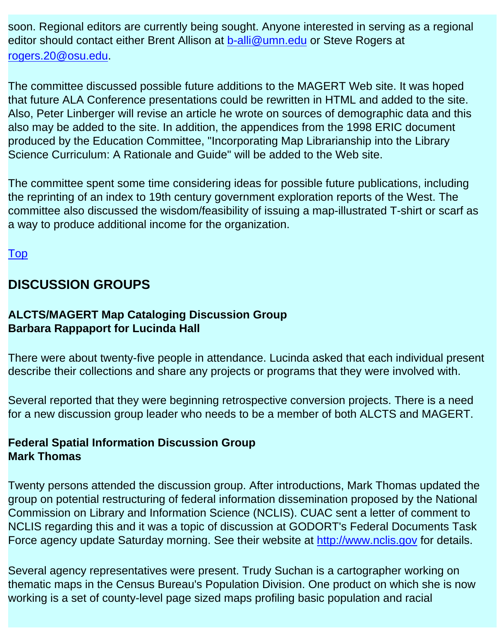soon. Regional editors are currently being sought. Anyone interested in serving as a regional editor should contact either Brent Allison at [b-alli@umn.edu](mailto:b-alli@umn.edu) or Steve Rogers at [rogers.20@osu.edu](mailto:rogers.20@osu.edu).

The committee discussed possible future additions to the MAGERT Web site. It was hoped that future ALA Conference presentations could be rewritten in HTML and added to the site. Also, Peter Linberger will revise an article he wrote on sources of demographic data and this also may be added to the site. In addition, the appendices from the 1998 ERIC document produced by the Education Committee, "Incorporating Map Librarianship into the Library Science Curriculum: A Rationale and Guide" will be added to the Web site.

The committee spent some time considering ideas for possible future publications, including the reprinting of an index to 19th century government exploration reports of the West. The committee also discussed the wisdom/feasibility of issuing a map-illustrated T-shirt or scarf as a way to produce additional income for the organization.

[Top](file:///C|/Documents%20and%20Settings/mlamont/My%20Documents/magert/baseline/early/baseline/%22#topOfPage%22)

## **DISCUSSION GROUPS**

#### **ALCTS/MAGERT Map Cataloging Discussion Group Barbara Rappaport for Lucinda Hall**

There were about twenty-five people in attendance. Lucinda asked that each individual present describe their collections and share any projects or programs that they were involved with.

Several reported that they were beginning retrospective conversion projects. There is a need for a new discussion group leader who needs to be a member of both ALCTS and MAGERT.

#### **Federal Spatial Information Discussion Group Mark Thomas**

Twenty persons attended the discussion group. After introductions, Mark Thomas updated the group on potential restructuring of federal information dissemination proposed by the National Commission on Library and Information Science (NCLIS). CUAC sent a letter of comment to NCLIS regarding this and it was a topic of discussion at GODORT's Federal Documents Task Force agency update Saturday morning. See their website at [http://www.nclis.gov](http://www.nclis.gov/) for details.

Several agency representatives were present. Trudy Suchan is a cartographer working on thematic maps in the Census Bureau's Population Division. One product on which she is now working is a set of county-level page sized maps profiling basic population and racial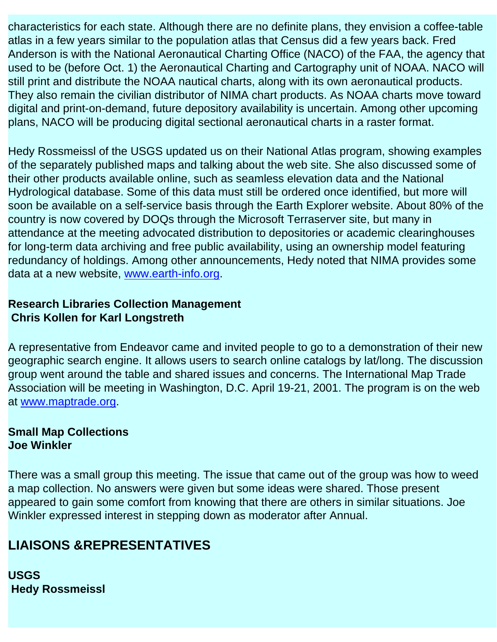characteristics for each state. Although there are no definite plans, they envision a coffee-table atlas in a few years similar to the population atlas that Census did a few years back. Fred Anderson is with the National Aeronautical Charting Office (NACO) of the FAA, the agency that used to be (before Oct. 1) the Aeronautical Charting and Cartography unit of NOAA. NACO will still print and distribute the NOAA nautical charts, along with its own aeronautical products. They also remain the civilian distributor of NIMA chart products. As NOAA charts move toward digital and print-on-demand, future depository availability is uncertain. Among other upcoming plans, NACO will be producing digital sectional aeronautical charts in a raster format.

Hedy Rossmeissl of the USGS updated us on their National Atlas program, showing examples of the separately published maps and talking about the web site. She also discussed some of their other products available online, such as seamless elevation data and the National Hydrological database. Some of this data must still be ordered once identified, but more will soon be available on a self-service basis through the Earth Explorer website. About 80% of the country is now covered by DOQs through the Microsoft Terraserver site, but many in attendance at the meeting advocated distribution to depositories or academic clearinghouses for long-term data archiving and free public availability, using an ownership model featuring redundancy of holdings. Among other announcements, Hedy noted that NIMA provides some data at a new website, [www.earth-info.org.](http://www.earth-info.org/)

#### **Research Libraries Collection Management Chris Kollen for Karl Longstreth**

A representative from Endeavor came and invited people to go to a demonstration of their new geographic search engine. It allows users to search online catalogs by lat/long. The discussion group went around the table and shared issues and concerns. The International Map Trade Association will be meeting in Washington, D.C. April 19-21, 2001. The program is on the web at [www.maptrade.org](http://www.maptrade.org/).

#### **Small Map Collections Joe Winkler**

There was a small group this meeting. The issue that came out of the group was how to weed a map collection. No answers were given but some ideas were shared. Those present appeared to gain some comfort from knowing that there are others in similar situations. Joe Winkler expressed interest in stepping down as moderator after Annual.

# **LIAISONS &REPRESENTATIVES**

**USGS Hedy Rossmeissl**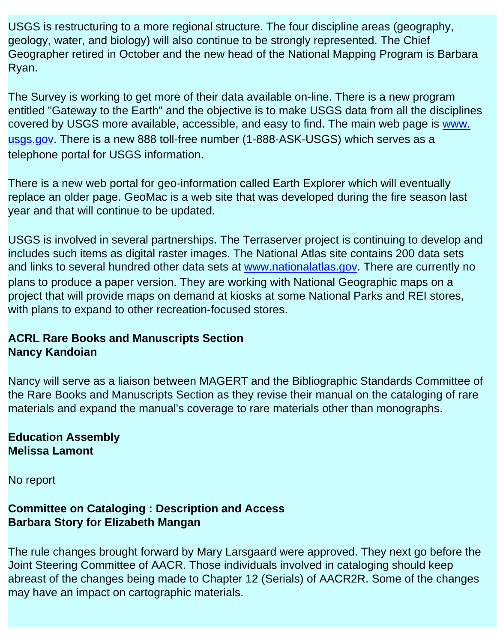USGS is restructuring to a more regional structure. The four discipline areas (geography, geology, water, and biology) will also continue to be strongly represented. The Chief Geographer retired in October and the new head of the National Mapping Program is Barbara Ryan.

The Survey is working to get more of their data available on-line. There is a new program entitled "Gateway to the Earth" and the objective is to make USGS data from all the disciplines covered by USGS more available, accessible, and easy to find. The main web page is www. [usgs.gov](http://www.usgs.gov/). There is a new 888 toll-free number (1-888-ASK-USGS) which serves as a telephone portal for USGS information.

There is a new web portal for geo-information called Earth Explorer which will eventually replace an older page. GeoMac is a web site that was developed during the fire season last year and that will continue to be updated.

USGS is involved in several partnerships. The Terraserver project is continuing to develop and includes such items as digital raster images. The National Atlas site contains 200 data sets and links to several hundred other data sets at [www.nationalatlas.gov](http://www.nationalatlas.gov/). There are currently no plans to produce a paper version. They are working with National Geographic maps on a project that will provide maps on demand at kiosks at some National Parks and REI stores, with plans to expand to other recreation-focused stores.

#### **ACRL Rare Books and Manuscripts Section Nancy Kandoian**

Nancy will serve as a liaison between MAGERT and the Bibliographic Standards Committee of the Rare Books and Manuscripts Section as they revise their manual on the cataloging of rare materials and expand the manual's coverage to rare materials other than monographs.

**Education Assembly Melissa Lamont** 

No report

### **Committee on Cataloging : Description and Access Barbara Story for Elizabeth Mangan**

The rule changes brought forward by Mary Larsgaard were approved. They next go before the Joint Steering Committee of AACR. Those individuals involved in cataloging should keep abreast of the changes being made to Chapter 12 (Serials) of AACR2R. Some of the changes may have an impact on cartographic materials.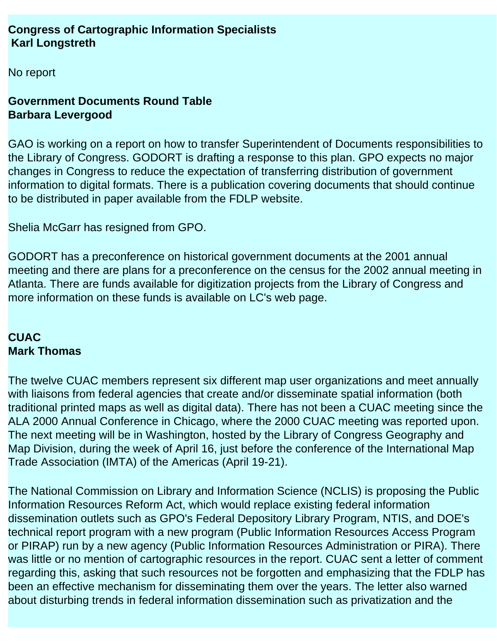#### **Congress of Cartographic Information Specialists Karl Longstreth**

No report

#### **Government Documents Round Table Barbara Levergood**

GAO is working on a report on how to transfer Superintendent of Documents responsibilities to the Library of Congress. GODORT is drafting a response to this plan. GPO expects no major changes in Congress to reduce the expectation of transferring distribution of government information to digital formats. There is a publication covering documents that should continue to be distributed in paper available from the FDLP website.

Shelia McGarr has resigned from GPO.

GODORT has a preconference on historical government documents at the 2001 annual meeting and there are plans for a preconference on the census for the 2002 annual meeting in Atlanta. There are funds available for digitization projects from the Library of Congress and more information on these funds is available on LC's web page.

## **CUAC Mark Thomas**

The twelve CUAC members represent six different map user organizations and meet annually with liaisons from federal agencies that create and/or disseminate spatial information (both traditional printed maps as well as digital data). There has not been a CUAC meeting since the ALA 2000 Annual Conference in Chicago, where the 2000 CUAC meeting was reported upon. The next meeting will be in Washington, hosted by the Library of Congress Geography and Map Division, during the week of April 16, just before the conference of the International Map Trade Association (IMTA) of the Americas (April 19-21).

The National Commission on Library and Information Science (NCLIS) is proposing the Public Information Resources Reform Act, which would replace existing federal information dissemination outlets such as GPO's Federal Depository Library Program, NTIS, and DOE's technical report program with a new program (Public Information Resources Access Program or PIRAP) run by a new agency (Public Information Resources Administration or PIRA). There was little or no mention of cartographic resources in the report. CUAC sent a letter of comment regarding this, asking that such resources not be forgotten and emphasizing that the FDLP has been an effective mechanism for disseminating them over the years. The letter also warned about disturbing trends in federal information dissemination such as privatization and the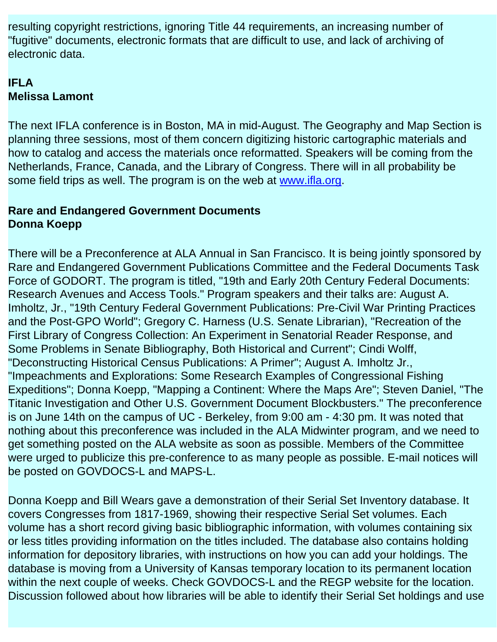resulting copyright restrictions, ignoring Title 44 requirements, an increasing number of "fugitive" documents, electronic formats that are difficult to use, and lack of archiving of electronic data.

## **IFLA Melissa Lamont**

The next IFLA conference is in Boston, MA in mid-August. The Geography and Map Section is planning three sessions, most of them concern digitizing historic cartographic materials and how to catalog and access the materials once reformatted. Speakers will be coming from the Netherlands, France, Canada, and the Library of Congress. There will in all probability be some field trips as well. The program is on the web at [www.ifla.org.](http://www.ifla.org/)

#### **Rare and Endangered Government Documents Donna Koepp**

There will be a Preconference at ALA Annual in San Francisco. It is being jointly sponsored by Rare and Endangered Government Publications Committee and the Federal Documents Task Force of GODORT. The program is titled, "19th and Early 20th Century Federal Documents: Research Avenues and Access Tools." Program speakers and their talks are: August A. Imholtz, Jr., "19th Century Federal Government Publications: Pre-Civil War Printing Practices and the Post-GPO World"; Gregory C. Harness (U.S. Senate Librarian), "Recreation of the First Library of Congress Collection: An Experiment in Senatorial Reader Response, and Some Problems in Senate Bibliography, Both Historical and Current"; Cindi Wolff, "Deconstructing Historical Census Publications: A Primer"; August A. Imholtz Jr., "Impeachments and Explorations: Some Research Examples of Congressional Fishing Expeditions"; Donna Koepp, "Mapping a Continent: Where the Maps Are"; Steven Daniel, "The Titanic Investigation and Other U.S. Government Document Blockbusters." The preconference is on June 14th on the campus of UC - Berkeley, from 9:00 am - 4:30 pm. It was noted that nothing about this preconference was included in the ALA Midwinter program, and we need to get something posted on the ALA website as soon as possible. Members of the Committee were urged to publicize this pre-conference to as many people as possible. E-mail notices will be posted on GOVDOCS-L and MAPS-L.

Donna Koepp and Bill Wears gave a demonstration of their Serial Set Inventory database. It covers Congresses from 1817-1969, showing their respective Serial Set volumes. Each volume has a short record giving basic bibliographic information, with volumes containing six or less titles providing information on the titles included. The database also contains holding information for depository libraries, with instructions on how you can add your holdings. The database is moving from a University of Kansas temporary location to its permanent location within the next couple of weeks. Check GOVDOCS-L and the REGP website for the location. Discussion followed about how libraries will be able to identify their Serial Set holdings and use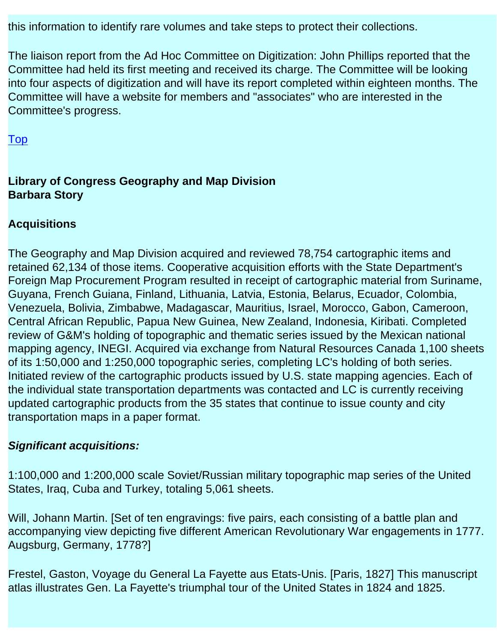this information to identify rare volumes and take steps to protect their collections.

The liaison report from the Ad Hoc Committee on Digitization: John Phillips reported that the Committee had held its first meeting and received its charge. The Committee will be looking into four aspects of digitization and will have its report completed within eighteen months. The Committee will have a website for members and "associates" who are interested in the Committee's progress.

[Top](file:///C|/Documents%20and%20Settings/mlamont/My%20Documents/magert/baseline/early/baseline/%22#topOfPage%22)

### **Library of Congress Geography and Map Division Barbara Story**

#### **Acquisitions**

The Geography and Map Division acquired and reviewed 78,754 cartographic items and retained 62,134 of those items. Cooperative acquisition efforts with the State Department's Foreign Map Procurement Program resulted in receipt of cartographic material from Suriname, Guyana, French Guiana, Finland, Lithuania, Latvia, Estonia, Belarus, Ecuador, Colombia, Venezuela, Bolivia, Zimbabwe, Madagascar, Mauritius, Israel, Morocco, Gabon, Cameroon, Central African Republic, Papua New Guinea, New Zealand, Indonesia, Kiribati. Completed review of G&M's holding of topographic and thematic series issued by the Mexican national mapping agency, INEGI. Acquired via exchange from Natural Resources Canada 1,100 sheets of its 1:50,000 and 1:250,000 topographic series, completing LC's holding of both series. Initiated review of the cartographic products issued by U.S. state mapping agencies. Each of the individual state transportation departments was contacted and LC is currently receiving updated cartographic products from the 35 states that continue to issue county and city transportation maps in a paper format.

#### *Significant acquisitions:*

1:100,000 and 1:200,000 scale Soviet/Russian military topographic map series of the United States, Iraq, Cuba and Turkey, totaling 5,061 sheets.

Will, Johann Martin. [Set of ten engravings: five pairs, each consisting of a battle plan and accompanying view depicting five different American Revolutionary War engagements in 1777. Augsburg, Germany, 1778?]

Frestel, Gaston, Voyage du General La Fayette aus Etats-Unis. [Paris, 1827] This manuscript atlas illustrates Gen. La Fayette's triumphal tour of the United States in 1824 and 1825.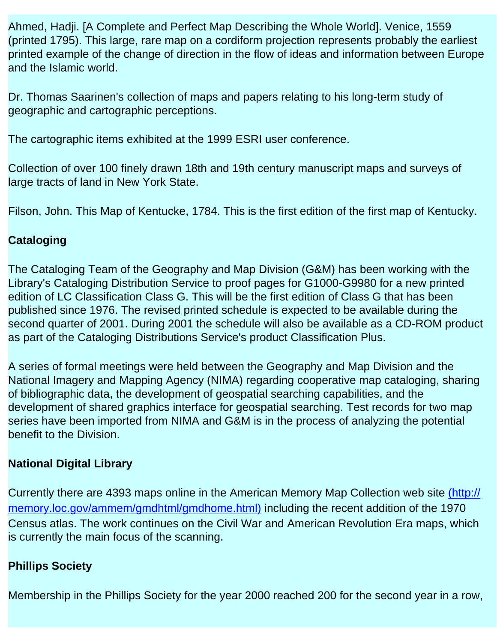Ahmed, Hadji. [A Complete and Perfect Map Describing the Whole World]. Venice, 1559 (printed 1795). This large, rare map on a cordiform projection represents probably the earliest printed example of the change of direction in the flow of ideas and information between Europe and the Islamic world.

Dr. Thomas Saarinen's collection of maps and papers relating to his long-term study of geographic and cartographic perceptions.

The cartographic items exhibited at the 1999 ESRI user conference.

Collection of over 100 finely drawn 18th and 19th century manuscript maps and surveys of large tracts of land in New York State.

Filson, John. This Map of Kentucke, 1784. This is the first edition of the first map of Kentucky.

### **Cataloging**

The Cataloging Team of the Geography and Map Division (G&M) has been working with the Library's Cataloging Distribution Service to proof pages for G1000-G9980 for a new printed edition of LC Classification Class G. This will be the first edition of Class G that has been published since 1976. The revised printed schedule is expected to be available during the second quarter of 2001. During 2001 the schedule will also be available as a CD-ROM product as part of the Cataloging Distributions Service's product Classification Plus.

A series of formal meetings were held between the Geography and Map Division and the National Imagery and Mapping Agency (NIMA) regarding cooperative map cataloging, sharing of bibliographic data, the development of geospatial searching capabilities, and the development of shared graphics interface for geospatial searching. Test records for two map series have been imported from NIMA and G&M is in the process of analyzing the potential benefit to the Division.

#### **National Digital Library**

Currently there are 4393 maps online in the American Memory Map Collection web site [\(http://](http://memory.loc.gov/ammem/gmdhtml/gmdhome.html)  [memory.loc.gov/ammem/gmdhtml/gmdhome.html\)](http://memory.loc.gov/ammem/gmdhtml/gmdhome.html) including the recent addition of the 1970 Census atlas. The work continues on the Civil War and American Revolution Era maps, which is currently the main focus of the scanning.

#### **Phillips Society**

Membership in the Phillips Society for the year 2000 reached 200 for the second year in a row,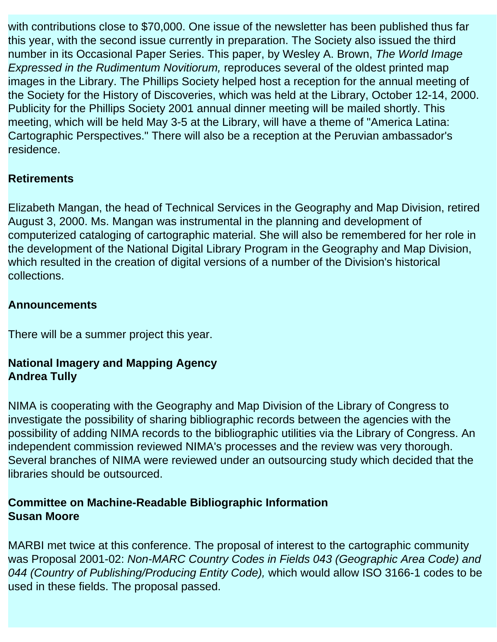with contributions close to \$70,000. One issue of the newsletter has been published thus far this year, with the second issue currently in preparation. The Society also issued the third number in its Occasional Paper Series. This paper, by Wesley A. Brown, *The World Image Expressed in the Rudimentum Novitiorum,* reproduces several of the oldest printed map images in the Library. The Phillips Society helped host a reception for the annual meeting of the Society for the History of Discoveries, which was held at the Library, October 12-14, 2000. Publicity for the Phillips Society 2001 annual dinner meeting will be mailed shortly. This meeting, which will be held May 3-5 at the Library, will have a theme of "America Latina: Cartographic Perspectives." There will also be a reception at the Peruvian ambassador's residence.

## **Retirements**

Elizabeth Mangan, the head of Technical Services in the Geography and Map Division, retired August 3, 2000. Ms. Mangan was instrumental in the planning and development of computerized cataloging of cartographic material. She will also be remembered for her role in the development of the National Digital Library Program in the Geography and Map Division, which resulted in the creation of digital versions of a number of the Division's historical collections.

#### **Announcements**

There will be a summer project this year.

#### **National Imagery and Mapping Agency Andrea Tully**

NIMA is cooperating with the Geography and Map Division of the Library of Congress to investigate the possibility of sharing bibliographic records between the agencies with the possibility of adding NIMA records to the bibliographic utilities via the Library of Congress. An independent commission reviewed NIMA's processes and the review was very thorough. Several branches of NIMA were reviewed under an outsourcing study which decided that the libraries should be outsourced.

#### **Committee on Machine-Readable Bibliographic Information Susan Moore**

MARBI met twice at this conference. The proposal of interest to the cartographic community was Proposal 2001-02: *Non-MARC Country Codes in Fields 043 (Geographic Area Code) and 044 (Country of Publishing/Producing Entity Code),* which would allow ISO 3166-1 codes to be used in these fields. The proposal passed.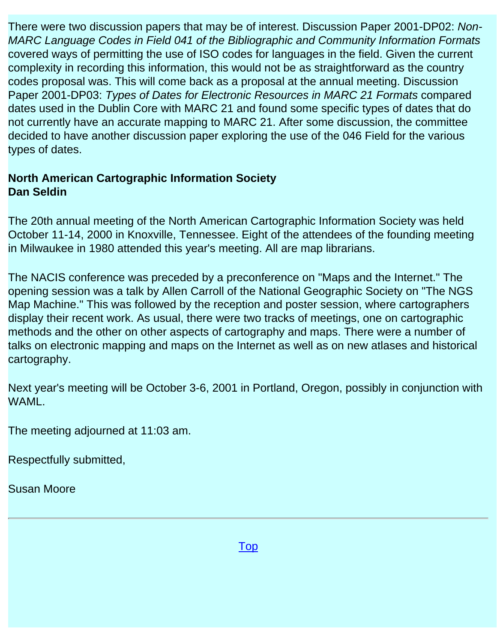There were two discussion papers that may be of interest. Discussion Paper 2001-DP02: *Non-MARC Language Codes in Field 041 of the Bibliographic and Community Information Formats*  covered ways of permitting the use of ISO codes for languages in the field. Given the current complexity in recording this information, this would not be as straightforward as the country codes proposal was. This will come back as a proposal at the annual meeting. Discussion Paper 2001-DP03: *Types of Dates for Electronic Resources in MARC 21 Formats* compared dates used in the Dublin Core with MARC 21 and found some specific types of dates that do not currently have an accurate mapping to MARC 21. After some discussion, the committee decided to have another discussion paper exploring the use of the 046 Field for the various types of dates.

#### **North American Cartographic Information Society Dan Seldin**

The 20th annual meeting of the North American Cartographic Information Society was held October 11-14, 2000 in Knoxville, Tennessee. Eight of the attendees of the founding meeting in Milwaukee in 1980 attended this year's meeting. All are map librarians.

The NACIS conference was preceded by a preconference on "Maps and the Internet." The opening session was a talk by Allen Carroll of the National Geographic Society on "The NGS Map Machine." This was followed by the reception and poster session, where cartographers display their recent work. As usual, there were two tracks of meetings, one on cartographic methods and the other on other aspects of cartography and maps. There were a number of talks on electronic mapping and maps on the Internet as well as on new atlases and historical cartography.

Next year's meeting will be October 3-6, 2001 in Portland, Oregon, possibly in conjunction with WAML.

The meeting adjourned at 11:03 am.

Respectfully submitted,

Susan Moore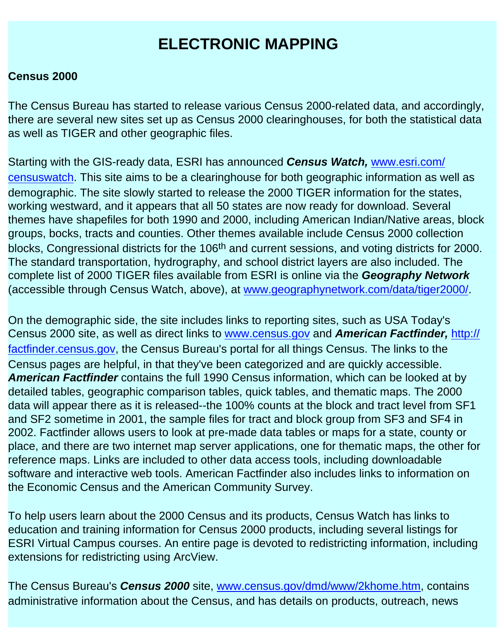# **ELECTRONIC MAPPING**

#### <span id="page-21-0"></span>**Census 2000**

The Census Bureau has started to release various Census 2000-related data, and accordingly, there are several new sites set up as Census 2000 clearinghouses, for both the statistical data as well as TIGER and other geographic files.

Starting with the GIS-ready data, ESRI has announced *Census Watch,* [www.esri.com/](http://www.esri.com/censuswatch) [censuswatch.](http://www.esri.com/censuswatch) This site aims to be a clearinghouse for both geographic information as well as demographic. The site slowly started to release the 2000 TIGER information for the states, working westward, and it appears that all 50 states are now ready for download. Several themes have shapefiles for both 1990 and 2000, including American Indian/Native areas, block groups, bocks, tracts and counties. Other themes available include Census 2000 collection blocks, Congressional districts for the 106<sup>th</sup> and current sessions, and voting districts for 2000. The standard transportation, hydrography, and school district layers are also included. The complete list of 2000 TIGER files available from ESRI is online via the *Geography Network*  (accessible through Census Watch, above), at [www.geographynetwork.com/data/tiger2000/](http://www.geographynetwork.com/data/tiger2000/).

On the demographic side, the site includes links to reporting sites, such as USA Today's Census 2000 site, as well as direct links to [www.census.gov](http://www.census.gov/) and *American Factfinder,* [http://](http://factfinder.census.gov/) [factfinder.census.gov](http://factfinder.census.gov/), the Census Bureau's portal for all things Census. The links to the Census pages are helpful, in that they've been categorized and are quickly accessible. *American Factfinder* contains the full 1990 Census information, which can be looked at by detailed tables, geographic comparison tables, quick tables, and thematic maps. The 2000 data will appear there as it is released--the 100% counts at the block and tract level from SF1 and SF2 sometime in 2001, the sample files for tract and block group from SF3 and SF4 in 2002. Factfinder allows users to look at pre-made data tables or maps for a state, county or place, and there are two internet map server applications, one for thematic maps, the other for reference maps. Links are included to other data access tools, including downloadable software and interactive web tools. American Factfinder also includes links to information on the Economic Census and the American Community Survey.

To help users learn about the 2000 Census and its products, Census Watch has links to education and training information for Census 2000 products, including several listings for ESRI Virtual Campus courses. An entire page is devoted to redistricting information, including extensions for redistricting using ArcView.

The Census Bureau's *Census 2000* site, [www.census.gov/dmd/www/2khome.htm](http://www.census.gov/dmd/www/2khome.htm), contains administrative information about the Census, and has details on products, outreach, news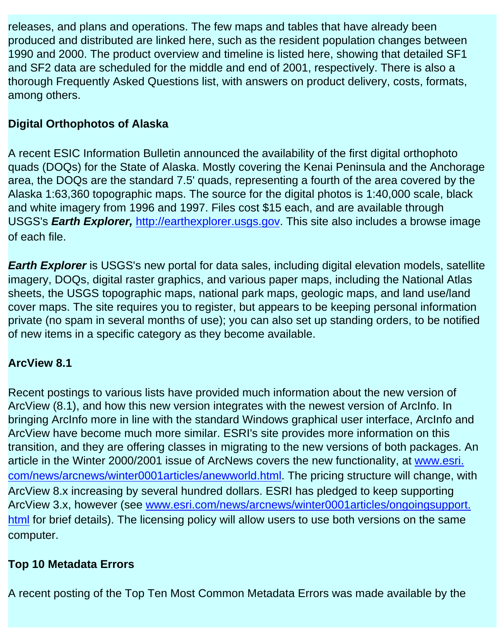releases, and plans and operations. The few maps and tables that have already been produced and distributed are linked here, such as the resident population changes between 1990 and 2000. The product overview and timeline is listed here, showing that detailed SF1 and SF2 data are scheduled for the middle and end of 2001, respectively. There is also a thorough Frequently Asked Questions list, with answers on product delivery, costs, formats, among others.

## **Digital Orthophotos of Alaska**

A recent ESIC Information Bulletin announced the availability of the first digital orthophoto quads (DOQs) for the State of Alaska. Mostly covering the Kenai Peninsula and the Anchorage area, the DOQs are the standard 7.5' quads, representing a fourth of the area covered by the Alaska 1:63,360 topographic maps. The source for the digital photos is 1:40,000 scale, black and white imagery from 1996 and 1997. Files cost \$15 each, and are available through USGS's *Earth Explorer,* [http://earthexplorer.usgs.gov.](http://earthexplorer.usgs.gov/) This site also includes a browse image of each file.

*Earth Explorer* is USGS's new portal for data sales, including digital elevation models, satellite imagery, DOQs, digital raster graphics, and various paper maps, including the National Atlas sheets, the USGS topographic maps, national park maps, geologic maps, and land use/land cover maps. The site requires you to register, but appears to be keeping personal information private (no spam in several months of use); you can also set up standing orders, to be notified of new items in a specific category as they become available.

## **ArcView 8.1**

Recent postings to various lists have provided much information about the new version of ArcView (8.1), and how this new version integrates with the newest version of ArcInfo. In bringing ArcInfo more in line with the standard Windows graphical user interface, ArcInfo and ArcView have become much more similar. ESRI's site provides more information on this transition, and they are offering classes in migrating to the new versions of both packages. An article in the Winter 2000/2001 issue of ArcNews covers the new functionality, at [www.esri.](http://www.esri.com/news/arcnews/winter0001articles/anewworld.html)  [com/news/arcnews/winter0001articles/anewworld.html.](http://www.esri.com/news/arcnews/winter0001articles/anewworld.html) The pricing structure will change, with ArcView 8.x increasing by several hundred dollars. ESRI has pledged to keep supporting ArcView 3.x, however (see [www.esri.com/news/arcnews/winter0001articles/ongoingsupport.](http://www.esri.com/news/arcnews/winter0001articles/ongoingsupport.html) [html](http://www.esri.com/news/arcnews/winter0001articles/ongoingsupport.html) for brief details). The licensing policy will allow users to use both versions on the same computer.

## **Top 10 Metadata Errors**

A recent posting of the Top Ten Most Common Metadata Errors was made available by the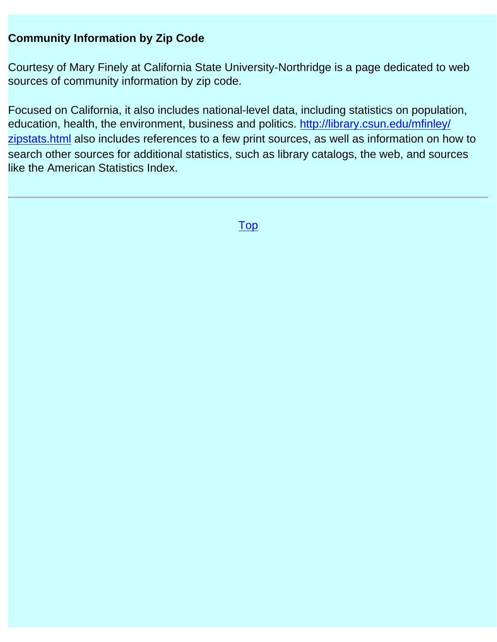#### **Community Information by Zip Code**

Courtesy of Mary Finely at California State University-Northridge is a page dedicated to web sources of community information by zip code.

Focused on California, it also includes national-level data, including statistics on population, education, health, the environment, business and politics. [http://library.csun.edu/mfinley/](http://library.csun.edu/mfinley/zipstats.html) [zipstats.html](http://library.csun.edu/mfinley/zipstats.html) also includes references to a few print sources, as well as information on how to search other sources for additional statistics, such as library catalogs, the web, and sources like the American Statistics Index.

[Top](#page-21-0)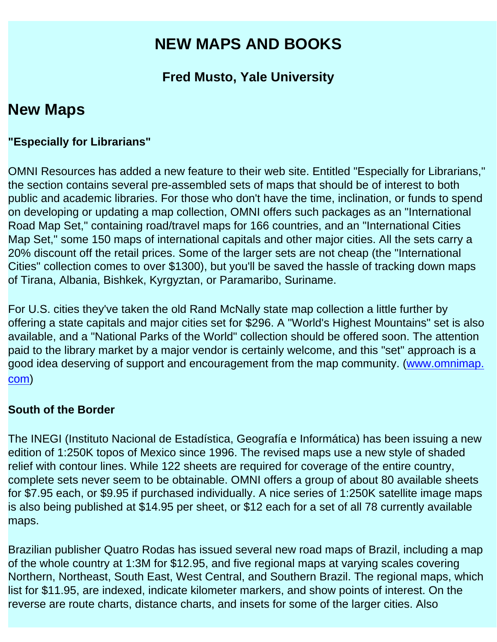# **NEW MAPS AND BOOKS**

# **Fred Musto, Yale University**

# **New Maps**

#### **"Especially for Librarians"**

OMNI Resources has added a new feature to their web site. Entitled "Especially for Librarians," the section contains several pre-assembled sets of maps that should be of interest to both public and academic libraries. For those who don't have the time, inclination, or funds to spend on developing or updating a map collection, OMNI offers such packages as an "International Road Map Set," containing road/travel maps for 166 countries, and an "International Cities Map Set," some 150 maps of international capitals and other major cities. All the sets carry a 20% discount off the retail prices. Some of the larger sets are not cheap (the "International Cities" collection comes to over \$1300), but you'll be saved the hassle of tracking down maps of Tirana, Albania, Bishkek, Kyrgyztan, or Paramaribo, Suriname.

For U.S. cities they've taken the old Rand McNally state map collection a little further by offering a state capitals and major cities set for \$296. A "World's Highest Mountains" set is also available, and a "National Parks of the World" collection should be offered soon. The attention paid to the library market by a major vendor is certainly welcome, and this "set" approach is a good idea deserving of support and encouragement from the map community. [\(www.omnimap.](http://www.omnimap.com/)  [com](http://www.omnimap.com/))

#### **South of the Border**

The INEGI (Instituto Nacional de Estadística, Geografía e Informática) has been issuing a new edition of 1:250K topos of Mexico since 1996. The revised maps use a new style of shaded relief with contour lines. While 122 sheets are required for coverage of the entire country, complete sets never seem to be obtainable. OMNI offers a group of about 80 available sheets for \$7.95 each, or \$9.95 if purchased individually. A nice series of 1:250K satellite image maps is also being published at \$14.95 per sheet, or \$12 each for a set of all 78 currently available maps.

Brazilian publisher Quatro Rodas has issued several new road maps of Brazil, including a map of the whole country at 1:3M for \$12.95, and five regional maps at varying scales covering Northern, Northeast, South East, West Central, and Southern Brazil. The regional maps, which list for \$11.95, are indexed, indicate kilometer markers, and show points of interest. On the reverse are route charts, distance charts, and insets for some of the larger cities. Also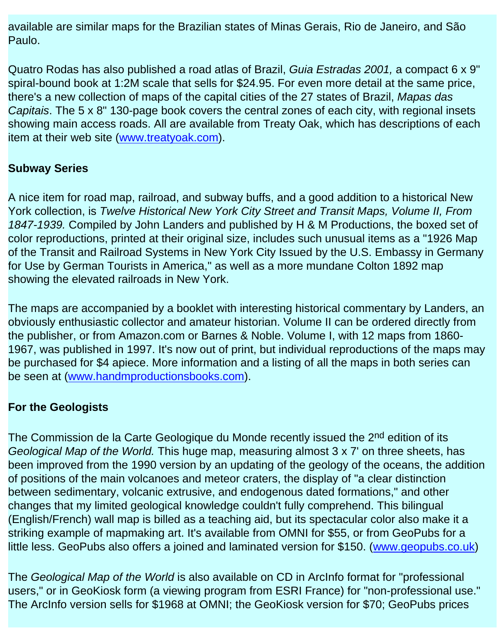available are similar maps for the Brazilian states of Minas Gerais, Rio de Janeiro, and São Paulo.

Quatro Rodas has also published a road atlas of Brazil, *Guia Estradas 2001,* a compact 6 x 9" spiral-bound book at 1:2M scale that sells for \$24.95. For even more detail at the same price, there's a new collection of maps of the capital cities of the 27 states of Brazil, *Mapas das Capitais*. The 5 x 8" 130-page book covers the central zones of each city, with regional insets showing main access roads. All are available from Treaty Oak, which has descriptions of each item at their web site ([www.treatyoak.com](http://www.treatyoak.com/)).

### **Subway Series**

A nice item for road map, railroad, and subway buffs, and a good addition to a historical New York collection, is *Twelve Historical New York City Street and Transit Maps, Volume II, From 1847-1939.* Compiled by John Landers and published by H & M Productions, the boxed set of color reproductions, printed at their original size, includes such unusual items as a "1926 Map of the Transit and Railroad Systems in New York City Issued by the U.S. Embassy in Germany for Use by German Tourists in America," as well as a more mundane Colton 1892 map showing the elevated railroads in New York.

The maps are accompanied by a booklet with interesting historical commentary by Landers, an obviously enthusiastic collector and amateur historian. Volume II can be ordered directly from the publisher, or from Amazon.com or Barnes & Noble. Volume I, with 12 maps from 1860 1967, was published in 1997. It's now out of print, but individual reproductions of the maps may be purchased for \$4 apiece. More information and a listing of all the maps in both series can be seen at ([www.handmproductionsbooks.com](http://www.handmproductionsbooks.com/)).

## **For the Geologists**

The Commission de la Carte Geologique du Monde recently issued the 2<sup>nd</sup> edition of its *Geological Map of the World.* This huge map, measuring almost 3 x 7' on three sheets, has been improved from the 1990 version by an updating of the geology of the oceans, the addition of positions of the main volcanoes and meteor craters, the display of "a clear distinction between sedimentary, volcanic extrusive, and endogenous dated formations," and other changes that my limited geological knowledge couldn't fully comprehend. This bilingual (English/French) wall map is billed as a teaching aid, but its spectacular color also make it a striking example of mapmaking art. It's available from OMNI for \$55, or from GeoPubs for a little less. GeoPubs also offers a joined and laminated version for \$150. ([www.geopubs.co.uk](http://www.geopubs.co.uk/))

The *Geological Map of the World* is also available on CD in ArcInfo format for "professional users," or in GeoKiosk form (a viewing program from ESRI France) for "non-professional use." The ArcInfo version sells for \$1968 at OMNI; the GeoKiosk version for \$70; GeoPubs prices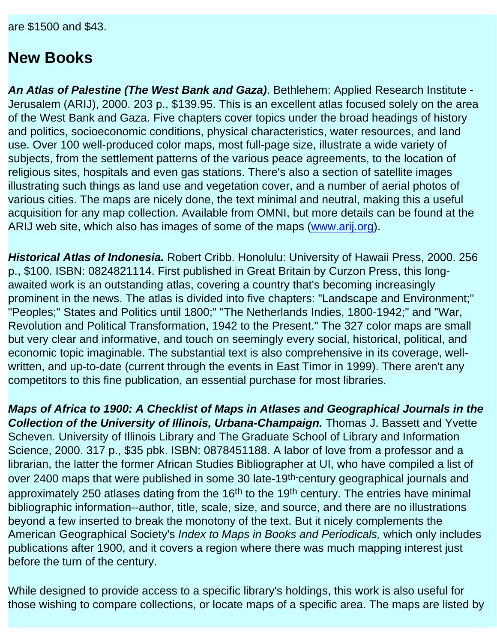are \$1500 and \$43.

# **New Books**

*An Atlas of Palestine (The West Bank and Gaza)*. Bethlehem: Applied Research Institute - Jerusalem (ARIJ), 2000. 203 p., \$139.95. This is an excellent atlas focused solely on the area of the West Bank and Gaza. Five chapters cover topics under the broad headings of history and politics, socioeconomic conditions, physical characteristics, water resources, and land use. Over 100 well-produced color maps, most full-page size, illustrate a wide variety of subjects, from the settlement patterns of the various peace agreements, to the location of religious sites, hospitals and even gas stations. There's also a section of satellite images illustrating such things as land use and vegetation cover, and a number of aerial photos of various cities. The maps are nicely done, the text minimal and neutral, making this a useful acquisition for any map collection. Available from OMNI, but more details can be found at the ARIJ web site, which also has images of some of the maps [\(www.arij.org](http://www.arij.org/)).

*Historical Atlas of Indonesia.* Robert Cribb. Honolulu: University of Hawaii Press, 2000. 256 p., \$100. ISBN: 0824821114. First published in Great Britain by Curzon Press, this longawaited work is an outstanding atlas, covering a country that's becoming increasingly prominent in the news. The atlas is divided into five chapters: "Landscape and Environment;" "Peoples;" States and Politics until 1800;" "The Netherlands Indies, 1800-1942;" and "War, Revolution and Political Transformation, 1942 to the Present." The 327 color maps are small but very clear and informative, and touch on seemingly every social, historical, political, and economic topic imaginable. The substantial text is also comprehensive in its coverage, wellwritten, and up-to-date (current through the events in East Timor in 1999). There aren't any competitors to this fine publication, an essential purchase for most libraries.

*Maps of Africa to 1900: A Checklist of Maps in Atlases and Geographical Journals in the Collection of the University of Illinois, Urbana-Champaign.* Thomas J. Bassett and Yvette Scheven. University of Illinois Library and The Graduate School of Library and Information Science, 2000. 317 p., \$35 pbk. ISBN: 0878451188. A labor of love from a professor and a librarian, the latter the former African Studies Bibliographer at UI, who have compiled a list of over 2400 maps that were published in some 30 late-19<sup>th-</sup>century geographical journals and approximately 250 atlases dating from the 16<sup>th</sup> to the 19<sup>th</sup> century. The entries have minimal bibliographic information--author, title, scale, size, and source, and there are no illustrations beyond a few inserted to break the monotony of the text. But it nicely complements the American Geographical Society's *Index to Maps in Books and Periodicals,* which only includes publications after 1900, and it covers a region where there was much mapping interest just before the turn of the century.

While designed to provide access to a specific library's holdings, this work is also useful for those wishing to compare collections, or locate maps of a specific area. The maps are listed by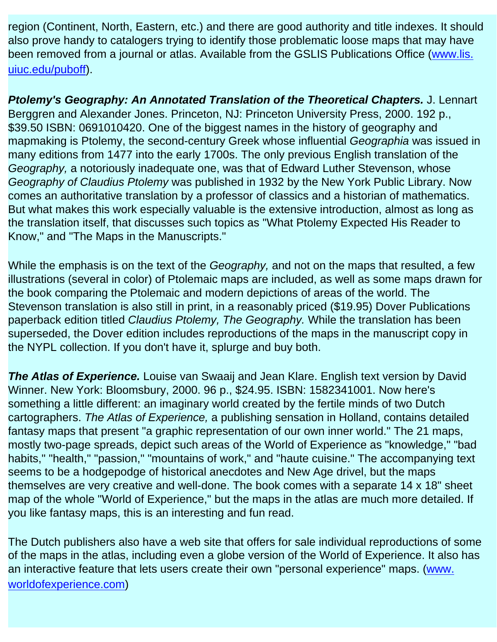region (Continent, North, Eastern, etc.) and there are good authority and title indexes. It should also prove handy to catalogers trying to identify those problematic loose maps that may have been removed from a journal or atlas. Available from the GSLIS Publications Office [\(www.lis.](http://www.lis.uiuc.edu/puboff) [uiuc.edu/puboff\)](http://www.lis.uiuc.edu/puboff).

*Ptolemy's Geography: An Annotated Translation of the Theoretical Chapters.* J. Lennart Berggren and Alexander Jones. Princeton, NJ: Princeton University Press, 2000. 192 p., \$39.50 ISBN: 0691010420. One of the biggest names in the history of geography and mapmaking is Ptolemy, the second-century Greek whose influential *Geographia* was issued in many editions from 1477 into the early 1700s. The only previous English translation of the *Geography,* a notoriously inadequate one, was that of Edward Luther Stevenson, whose *Geography of Claudius Ptolemy* was published in 1932 by the New York Public Library. Now comes an authoritative translation by a professor of classics and a historian of mathematics. But what makes this work especially valuable is the extensive introduction, almost as long as the translation itself, that discusses such topics as "What Ptolemy Expected His Reader to Know," and "The Maps in the Manuscripts."

While the emphasis is on the text of the *Geography,* and not on the maps that resulted, a few illustrations (several in color) of Ptolemaic maps are included, as well as some maps drawn for the book comparing the Ptolemaic and modern depictions of areas of the world. The Stevenson translation is also still in print, in a reasonably priced (\$19.95) Dover Publications paperback edition titled *Claudius Ptolemy, The Geography.* While the translation has been superseded, the Dover edition includes reproductions of the maps in the manuscript copy in the NYPL collection. If you don't have it, splurge and buy both.

**The Atlas of Experience.** Louise van Swaaij and Jean Klare. English text version by David Winner. New York: Bloomsbury, 2000. 96 p., \$24.95. ISBN: 1582341001. Now here's something a little different: an imaginary world created by the fertile minds of two Dutch cartographers. *The Atlas of Experience,* a publishing sensation in Holland, contains detailed fantasy maps that present "a graphic representation of our own inner world." The 21 maps, mostly two-page spreads, depict such areas of the World of Experience as "knowledge," "bad habits," "health," "passion," "mountains of work," and "haute cuisine." The accompanying text seems to be a hodgepodge of historical anecdotes and New Age drivel, but the maps themselves are very creative and well-done. The book comes with a separate 14 x 18" sheet map of the whole "World of Experience," but the maps in the atlas are much more detailed. If you like fantasy maps, this is an interesting and fun read.

The Dutch publishers also have a web site that offers for sale individual reproductions of some of the maps in the atlas, including even a globe version of the World of Experience. It also has an interactive feature that lets users create their own "personal experience" maps. ([www.](http://www.worldofexperience.com/)  [worldofexperience.com\)](http://www.worldofexperience.com/)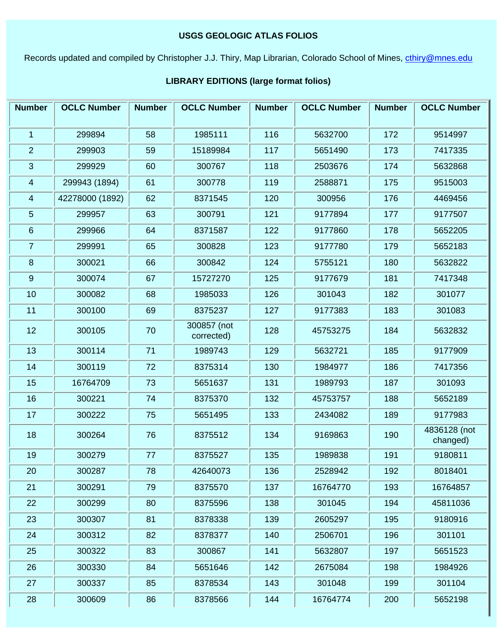#### **USGS GEOLOGIC ATLAS FOLIOS**

<span id="page-29-0"></span>Records updated and compiled by Christopher J.J. Thiry, Map Librarian, Colorado School of Mines, [cthiry@mnes.edu](mailto:cthiry@mnes.edu)

#### Number | OCLC Number | Number | OCLC Number | Number | OCLC Number | Number | OCLC Number 1 | 299894 | 58 | 1985111 | 116 | 5632700 | 172 | 9514997 2 299903 59 15189984 117 5651490 173 7417335 3 299929 60 300767 118 2503676 174 5632868 299943 (1894) 42278000 (1892) 6 299966 64 8371587 122 9177860 178 5652205 7 | 299991 | 65 | 300828 | 123 | 9177780 | 179 | 5652183 8 | 300021 | 66 | 300842 | 124 | 5755121 | 180 | 5632822 9 | 300074 | 67 | 15727270 | 125 | 9177679 | 181 | 7417348 10 | 300082 | 68 | 1985033 | 126 | 301043 | 182 | 301077 11 | 300100 | 69 | 8375237 | 127 | 9177383 | 183 | 301083 300857 (not corrected) 14 300119 72 8375314 130 1984977 186 7417356 15 | 16764709 | 73 | 5651637 | 131 | 1989793 | 187 | 301093 16 300221 74 8375370 132 45753757 188 5652189 17 | 300222 | 75 | 5651495 | 133 | 2434082 | 189 | 9177983 4836128 (not changed) 20 300287 78 42640073 136 2528942 192 8018401 21 300291 79 8375570 137 16764770 193 16764857 22 | 300299 | 80 | 8375596 | 138 | 301045 | 194 | 45811036 23 | 300307 | 81 | 8378338 | 139 | 2605297 | 195 | 9180916 24 300312 82 8378377 140 2506701 196 301101 25 | 300322 | 83 | 300867 | 141 | 5632807 | 197 | 5651523 26 300330 84 5651646 142 2675084 198 1984926 27 | 300337 | 85 | 8378534 | 143 | 301048 | 199 | 301104 28 | 300609 | 86 | 8378566 | 144 | 16764774 | 200 | 5652198

#### **LIBRARY EDITIONS (large format folios)**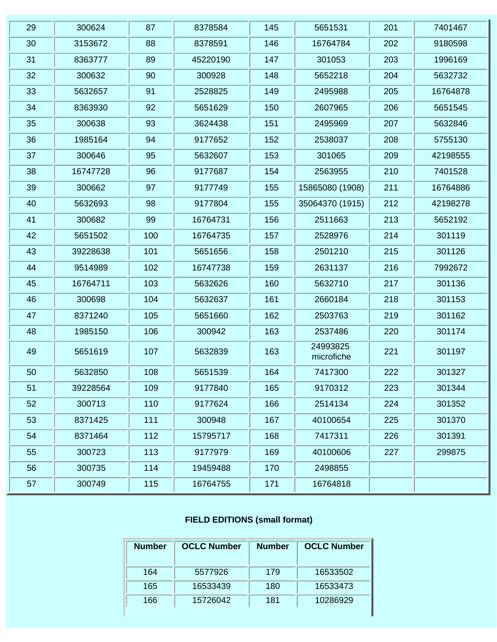| 29 | 300624   | 87  | 8378584  | 145 | 5651531                | 201 | 7401467  |
|----|----------|-----|----------|-----|------------------------|-----|----------|
| 30 | 3153672  | 88  | 8378591  | 146 | 16764784               | 202 | 9180598  |
| 31 | 8363777  | 89  | 45220190 | 147 | 301053                 | 203 | 1996169  |
| 32 | 300632   | 90  | 300928   | 148 | 5652218                | 204 | 5632732  |
| 33 | 5632657  | 91  | 2528825  | 149 | 2495988                | 205 | 16764878 |
| 34 | 8363930  | 92  | 5651629  | 150 | 2607965                | 206 | 5651545  |
| 35 | 300638   | 93  | 3624438  | 151 | 2495969                | 207 | 5632846  |
| 36 | 1985164  | 94  | 9177652  | 152 | 2538037                | 208 | 5755130  |
| 37 | 300646   | 95  | 5632607  | 153 | 301065                 | 209 | 42198555 |
| 38 | 16747728 | 96  | 9177687  | 154 | 2563955                | 210 | 7401528  |
| 39 | 300662   | 97  | 9177749  | 155 | 15865080 (1908)        | 211 | 16764886 |
| 40 | 5632693  | 98  | 9177804  | 155 | 35064370 (1915)        | 212 | 42198278 |
| 41 | 300682   | 99  | 16764731 | 156 | 2511663                | 213 | 5652192  |
| 42 | 5651502  | 100 | 16764735 | 157 | 2528976                | 214 | 301119   |
| 43 | 39228638 | 101 | 5651656  | 158 | 2501210                | 215 | 301126   |
| 44 | 9514989  | 102 | 16747738 | 159 | 2631137                | 216 | 7992672  |
| 45 | 16764711 | 103 | 5632626  | 160 | 5632710                | 217 | 301136   |
| 46 | 300698   | 104 | 5632637  | 161 | 2660184                | 218 | 301153   |
| 47 | 8371240  | 105 | 5651660  | 162 | 2503763                | 219 | 301162   |
| 48 | 1985150  | 106 | 300942   | 163 | 2537486                | 220 | 301174   |
| 49 | 5651619  | 107 | 5632839  | 163 | 24993825<br>microfiche | 221 | 301197   |
| 50 | 5632850  | 108 | 5651539  | 164 | 7417300                | 222 | 301327   |
| 51 | 39228564 | 109 | 9177840  | 165 | 9170312                | 223 | 301344   |
| 52 | 300713   | 110 | 9177624  | 166 | 2514134                | 224 | 301352   |
| 53 | 8371425  | 111 | 300948   | 167 | 40100654               | 225 | 301370   |
| 54 | 8371464  | 112 | 15795717 | 168 | 7417311                | 226 | 301391   |
| 55 | 300723   | 113 | 9177979  | 169 | 40100606               | 227 | 299875   |
| 56 | 300735   | 114 | 19459488 | 170 | 2498855                |     |          |
| 57 | 300749   | 115 | 16764755 | 171 | 16764818               |     |          |

#### **FIELD EDITIONS (small format)**

| <b>Number</b> | <b>OCLC Number</b> | <b>Number</b> | <b>OCLC Number</b> |
|---------------|--------------------|---------------|--------------------|
| 164           | 5577926            | 179           | 16533502           |
| 165           | 16533439           | 180           | 16533473           |
| 166           | 15726042           | 181           | 10286929           |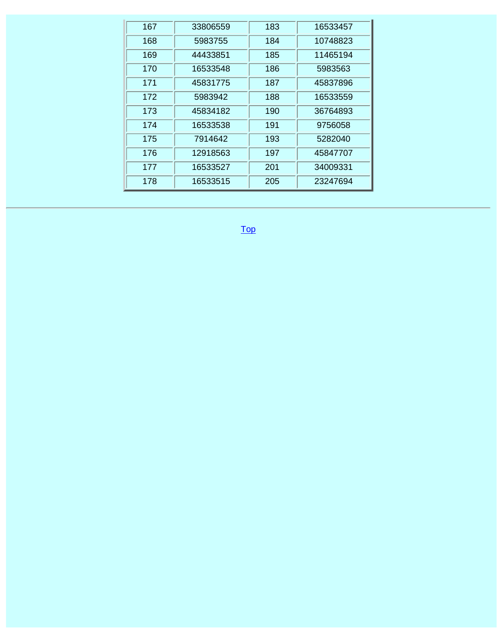| 167 | 33806559 | 183 | 16533457 |
|-----|----------|-----|----------|
| 168 | 5983755  | 184 | 10748823 |
| 169 | 44433851 | 185 | 11465194 |
| 170 | 16533548 | 186 | 5983563  |
| 171 | 45831775 | 187 | 45837896 |
| 172 | 5983942  | 188 | 16533559 |
| 173 | 45834182 | 190 | 36764893 |
| 174 | 16533538 | 191 | 9756058  |
| 175 | 7914642  | 193 | 5282040  |
| 176 | 12918563 | 197 | 45847707 |
| 177 | 16533527 | 201 | 34009331 |
| 178 | 16533515 | 205 | 23247694 |

[Top](#page-29-0)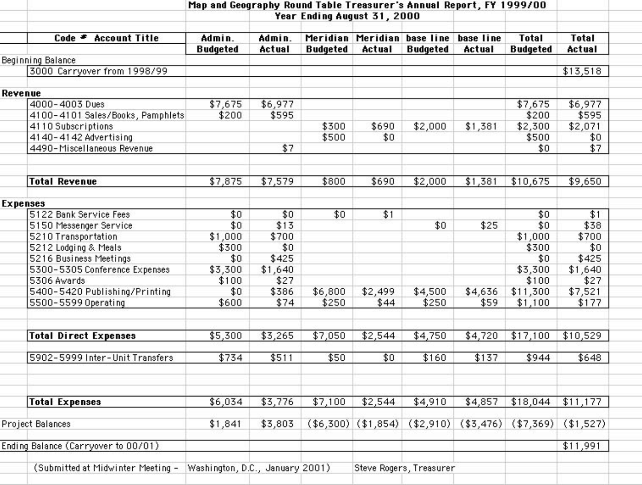|                                     | Map and Geography Round Table Treasurer's Annual Report, FY 1999/00 |         |                 |           |                             |           |                 |              |
|-------------------------------------|---------------------------------------------------------------------|---------|-----------------|-----------|-----------------------------|-----------|-----------------|--------------|
|                                     | Year Ending August 31, 2000                                         |         |                 |           |                             |           |                 |              |
| Code <sup>≠</sup> Account Title     | Admin.                                                              | Admin.  |                 |           | Meridian Meridian base line | base line | <b>Total</b>    | <b>Total</b> |
| Beginning Balance                   | <b>Budgeted</b>                                                     | Actual  | <b>Budgeted</b> | Actual    | <b>Budgeted</b>             | Actual    | <b>Budgeted</b> | Actual       |
| 3000 Carryover from 1998/99         |                                                                     |         |                 |           |                             |           |                 | \$13,518     |
|                                     |                                                                     |         |                 |           |                             |           |                 |              |
| Revenue                             |                                                                     |         |                 |           |                             |           |                 |              |
| 4000-4003 Dues                      | \$7,675                                                             | \$6,977 |                 |           |                             |           | \$7,675         | \$6,977      |
| 4100-4101 Sales/Books, Pamphlets    | \$200                                                               | \$595   |                 |           |                             |           | \$200           | \$595        |
| 4110 Subscriptions                  |                                                                     |         | \$300           | \$690     | \$2,000                     | \$1,381   | \$2,300         | \$2,071      |
| 4140-4142 Advertising               |                                                                     |         | \$500           | \$0       |                             |           | \$500           | \$0          |
| 4490-Miscellaneous Revenue          |                                                                     | \$7     |                 |           |                             |           | \$0             | \$7          |
|                                     |                                                                     |         |                 |           |                             |           |                 |              |
| <b>Total Revenue</b>                | \$7,875                                                             | \$7,579 | \$800           | \$690     | \$2,000                     | \$1,381   | \$10,675        | \$9,650      |
|                                     |                                                                     |         |                 |           |                             |           |                 |              |
| <b>Expenses</b>                     |                                                                     |         |                 |           |                             |           |                 |              |
| 5122 Bank Service Fees              | \$0                                                                 | \$0     | \$0             | \$1       |                             |           | \$0             | \$1          |
| 5150 Messenger Service              | \$0                                                                 | \$13    |                 |           | \$0                         | \$25      | \$0             | \$38         |
| 5210 Transportation                 | \$1,000                                                             | \$700   |                 |           |                             |           | \$1,000         | \$700        |
| 5212 Lodging & Meals                | \$300                                                               | \$0     |                 |           |                             |           | \$300           | \$0          |
| 5216 Business Meetings              | \$0                                                                 | \$425   |                 |           |                             |           | \$0             | \$425        |
| 5300-5305 Conference Expenses       | \$3,300                                                             | \$1,640 |                 |           |                             |           | \$3,300         | \$1,640      |
| 5306 Awards                         | \$100                                                               | \$27    |                 |           |                             |           | \$100           | \$27         |
| 5400-5420 Publishing/Printing       | \$0                                                                 | \$386   | \$6,800         | \$2,499   | \$4,500                     | \$4,636   | \$11,300        | \$7,521      |
| 5500-5599 Operating                 | \$600                                                               | \$74    | \$250           | \$44      | \$250                       | \$59      | \$1,100         | \$177        |
|                                     |                                                                     |         |                 |           |                             |           |                 |              |
| <b>Total Direct Expenses</b>        | \$5,300                                                             | \$3,265 | \$7,050         | \$2,544   | \$4,750                     | \$4,720   | \$17,100        | \$10,529     |
| 5902-5999 Inter-Unit Transfers      | \$734                                                               | \$511   | \$50            | \$0       | \$160                       | \$137     | \$944           | \$648        |
|                                     |                                                                     |         |                 |           |                             |           |                 |              |
| <b>Total Expenses</b>               | \$6,034                                                             | \$3,776 | \$7,100         | \$2,544   | \$4,910                     | \$4,857   | \$18,044        | \$11,177     |
|                                     |                                                                     |         |                 |           |                             |           |                 |              |
| Project Balances                    | \$1,841                                                             | \$3,803 | (\$6,300)       | (\$1,854) | (\$2,910)                   | (\$3,476) | (\$7,369)       | (\$1,527)    |
| Ending Balance (Carryover to 00/01) |                                                                     |         |                 |           |                             |           |                 | \$11,991     |
| (Submitted at Midwinter Meeting -   | Washington, D.C., January 2001)                                     |         |                 |           | Steve Rogers, Treasurer     |           |                 |              |
|                                     |                                                                     |         |                 |           |                             |           |                 |              |